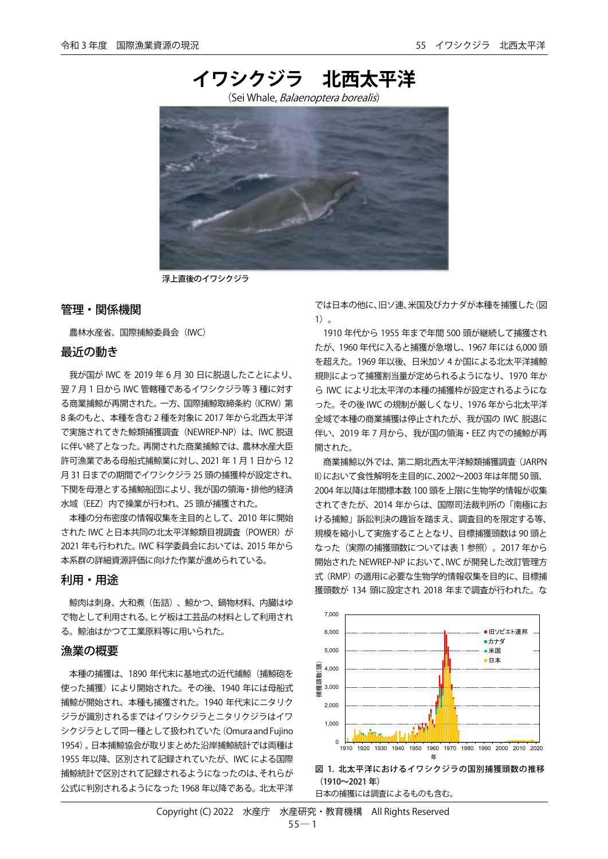

浮上直後のイワシクジラ

## 管理・関係機関

農林水産省、国際捕鯨委員会(IWC)

#### 最近の動き

我が国が IWC を 2019 年 6 月 30 日に脱退したことにより、 翌 7 月 1 日から IWC 管轄種であるイワシクジラ等 3 種に対す る商業捕鯨が再開された。一方、国際捕鯨取締条約(ICRW)第 8 条のもと、本種を含む 2 種を対象に 2017 年から北西太平洋 で実施されてきた鯨類捕獲調査(NEWREP-NP)は、IWC 脱退 に伴い終了となった。再開された商業捕鯨では、農林水産大臣 許可漁業である母船式捕鯨業に対し、2021 年 1 月 1 日から 12 月 31 日までの期間でイワシクジラ 25 頭の捕獲枠が設定され、 下関を母港とする捕鯨船団により、我が国の領海・排他的経済 水域 (EEZ) 内で操業が行われ、25 頭が捕獲された。

本種の分布密度の情報収集を主目的として、2010 年に開始 された IWC と日本共同の北太平洋鯨類目視調査 (POWER) が 2021 年も行われた。IWC 科学委員会においては、2015 年から 本系群の詳細資源評価に向けた作業が進められている。

# 利用・用途

鯨肉は刺身、大和煮(缶詰)、鯨かつ、鍋物材料、内臓はゆ で物として利用される。ヒゲ板は工芸品の材料として利用され る。鯨油はかつて工業原料等に用いられた。

### 漁業の概要

本種の捕獲は、1890 年代末に基地式の近代捕鯨(捕鯨砲を 使った捕獲)により開始された。その後、1940年には母船式 捕鯨が開始され、本種も捕獲された。1940 年代末にニタリク ジラが識別されるまではイワシクジラとニタリクジラはイワ シクジラとして同一種として扱われていた(Omura and Fujino 1954)。日本捕鯨協会が取りまとめた沿岸捕鯨統計では両種は 1955 年以降、区別されて記録されていたが、IWC による国際 捕鯨統計で区別されて記録されるようになったのは、それらが 公式に判別されるようになった 1968 年以降である。北太平洋 では日本の他に、旧ソ連、米国及びカナダが本種を捕獲した(図 1)。

1910 年代から 1955 年まで年間 500 頭が継続して捕獲され たが、1960 年代に入ると捕獲が急増し、1967 年には 6,000 頭 を超えた。1969 年以後、日米加ソ 4 か国による北太平洋捕鯨 規則によって捕獲割当量が定められるようになり、1970 年か ら IWC により北太平洋の本種の捕獲枠が設定されるようにな った。その後 IWC の規制が厳しくなり、1976 年から北太平洋 全域で本種の商業捕獲は停止されたが、我が国の IWC 脱退に 伴い、2019 年 7 月から、我が国の領海・EEZ 内での捕鯨が再 開された。

商業捕鯨以外では、第二期北西太平洋鯨類捕獲調査(JARPN II)において食性解明を主目的に、2002~2003年は年間50頭、 2004 年以降は年間標本数 100 頭を上限に生物学的情報が収集 されてきたが、2014 年からは、国際司法裁判所の「南極にお ける捕鯨」訴訟判決の趣旨を踏まえ、調査目的を限定する等、 規模を縮小して実施することとなり、目標捕獲頭数は 90 頭と なった(実際の捕獲頭数については表 1 参照)。2017 年から 開始された NEWREP-NP において、IWC が開発した改訂管理方 式(RMP)の適用に必要な生物学的情報収集を目的に、目標捕 獲頭数が 134 頭に設定され 2018 年まで調査が行われた。な





日本の捕獲には調査によるものも含む。

Copyright (C) 2022 水産庁 水産研究・教育機構 All Rights Reserved  $55 - 1$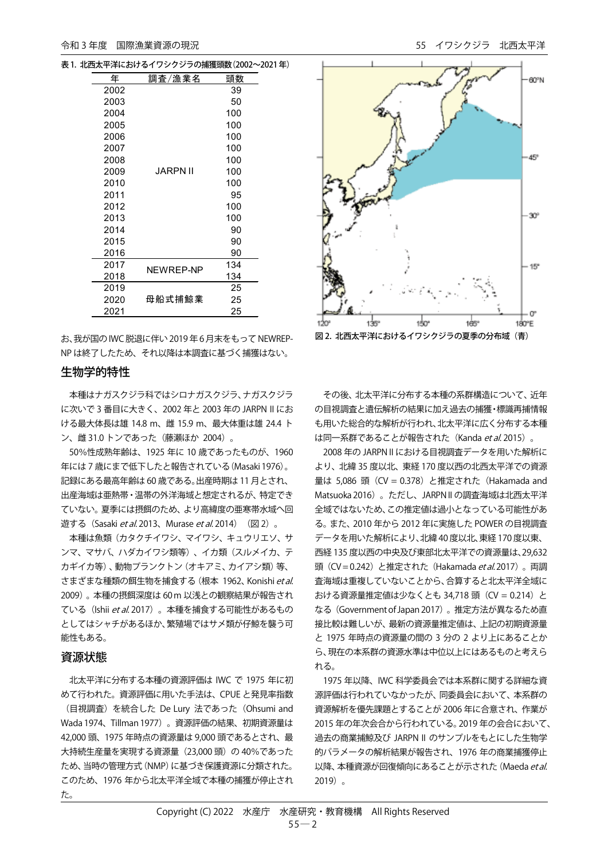表1. 北西太平洋におけるイワシクジラの捕獲頭数(2002~2021 年)

| 年    | 調査/漁業名    | 頭数  |  |
|------|-----------|-----|--|
| 2002 |           | 39  |  |
| 2003 |           | 50  |  |
| 2004 |           | 100 |  |
| 2005 |           | 100 |  |
| 2006 |           | 100 |  |
| 2007 |           | 100 |  |
| 2008 |           | 100 |  |
| 2009 | JARPN II  | 100 |  |
| 2010 |           | 100 |  |
| 2011 |           | 95  |  |
| 2012 |           | 100 |  |
| 2013 |           | 100 |  |
| 2014 |           | 90  |  |
| 2015 |           | 90  |  |
| 2016 |           | 90  |  |
| 2017 | NEWREP-NP | 134 |  |
| 2018 |           | 134 |  |
| 2019 |           | 25  |  |
| 2020 | 母船式捕鯨業    | 25  |  |
| 2021 |           | 25  |  |

お、我が国のIWC 脱退に伴い2019 年6 月末をもってNEWREP-NP は終了したため、それ以降は本調査に基づく捕獲はない。

## 生物学的特性

本種はナガスクジラ科ではシロナガスクジラ、ナガスクジラ に次いで 3 番目に大きく、2002 年と 2003 年の JARPN II にお ける最大体長は雄 14.8 m、雌 15.9 m、最大体重は雄 24.4 ト ン、雌 31.0 トンであった(藤瀬ほか 2004)。

50%性成熟年齢は、1925 年に 10 歳であったものが、1960 年には 7 歳にまで低下したと報告されている(Masaki 1976)。 記録にある最高年齢は 60 歳である。出産時期は 11 月とされ、 出産海域は亜熱帯・温帯の外洋海域と想定されるが、特定でき ていない。夏季には摂餌のため、より高緯度の亜寒帯水域へ回 遊する (Sasaki *et al.* 2013、Murase *et al.* 2014) (図 2)。

本種は魚類(カタクチイワシ、マイワシ、キュウリエソ、サ ンマ、マサバ、ハダカイワシ類等)、イカ類(スルメイカ、テ カギイカ等)、動物プランクトン(オキアミ、カイアシ類)等、 さまざまな種類の餌生物を捕食する (根本 1962、Konishi et al. 2009)。本種の摂餌深度は 60 m 以浅との観察結果が報告され ている (Ishii et al. 2017)。本種を捕食する可能性があるもの としてはシャチがあるほか、繁殖場ではサメ類が仔鯨を襲う可 能性もある。

#### 資源状態

北太平洋に分布する本種の資源評価は IWC で 1975 年に初 めて行われた。資源評価に用いた手法は、CPUE と発見率指数 (目視調査)を統合した De Lury 法であった(Ohsumi and Wada 1974、Tillman 1977)。資源評価の結果、初期資源量は 42,000 頭、1975 年時点の資源量は 9,000 頭であるとされ、最 大持続生産量を実現する資源量 (23,000 頭)の 40%であった ため、当時の管理方式(NMP)に基づき保護資源に分類された。 このため、1976 年から北太平洋全域で本種の捕獲が停止され た。



その後、北太平洋に分布する本種の系群構造について、近年 の目視調査と遺伝解析の結果に加え過去の捕獲・標識再捕情報 も用いた総合的な解析が行われ、北太平洋に広く分布する本種 は同一系群であることが報告された (Kanda et al. 2015)。

2008年の JARPN II における目視調査データを用いた解析に より、北緯 35 度以北、東経 170 度以西の北西太平洋での資源 量は 5,086 頭 (CV = 0.378) と推定された (Hakamada and Matsuoka 2016)。ただし、JARPN II の調査海域は北西太平洋 全域ではないため、この推定値は過小となっている可能性があ る。また、2010 年から 2012 年に実施した POWER の目視調査 データを用いた解析により、北緯40 度以北、東経 170 度以東、 西経 135 度以西の中央及び東部北太平洋での資源量は、29,632 頭 (CV = 0.242) と推定された (Hakamada *et al*. 2017)。両調 査海域は重複していないことから、合算すると北太平洋全域に おける資源量推定値は少なくとも 34,718 頭 (CV = 0.214) と なる(Government of Japan 2017)。推定方法が異なるため直 接比較は難しいが、最新の資源量推定値は、上記の初期資源量 と 1975 年時点の資源量の間の 3 分の 2 より上にあることか ら、現在の本系群の資源水準は中位以上にはあるものと考えら れる。

1975 年以降、IWC 科学委員会では本系群に関する詳細な資 源評価は行われていなかったが、同委員会において、本系群の 資源解析を優先課題とすることが 2006 年に合意され、作業が 2015 年の年次会合から行われている。2019 年の会合において、 過去の商業捕鯨及び JARPN II のサンプルをもとにした生物学 的パラメータの解析結果が報告され、1976 年の商業捕獲停止 以降、本種資源が回復傾向にあることが示された (Maeda et al. 2019)。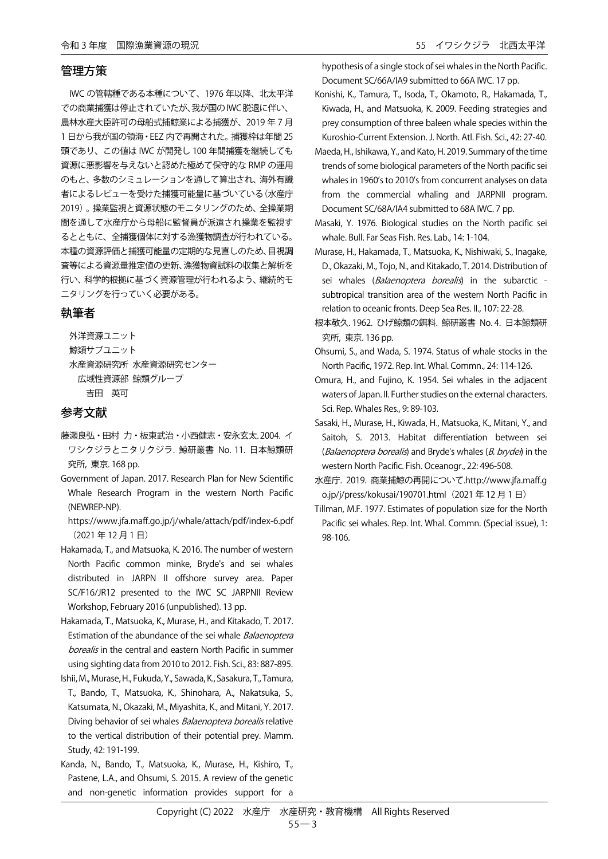#### 管理方策

IWC の管轄種である本種について、1976 年以降、北太平洋 での商業捕獲は停止されていたが、我が国のIWC脱退に伴い、 農林水産大臣許可の母船式捕鯨業による捕獲が、2019 年 7 月 1 日から我が国の領海・EEZ 内で再開された。捕獲枠は年間 25 頭であり、この値は IWC が開発し 100 年間捕獲を継続しても 資源に悪影響を与えないと認めた極めて保守的な RMP の運用 のもと、多数のシミュレーションを通して算出され、海外有識 者によるレビューを受けた捕獲可能量に基づいている(水産庁 2019)。操業監視と資源状態のモニタリングのため、全操業期 間を通して水産庁から母船に監督員が派遣され操業を監視す るとともに、全捕獲個体に対する漁獲物調査が行われている。 本種の資源評価と捕獲可能量の定期的な見直しのため、目視調 査等による資源量推定値の更新、漁獲物資試料の収集と解析を 行い、科学的根拠に基づく資源管理が行われるよう、継続的モ ニタリングを行っていく必要がある。

# 執筆者

外洋資源ユニット 鯨類サブユニット 水産資源研究所 水産資源研究センター 広域性資源部 鯨類グループ 吉田 英可

### 参考文献

- 藤瀬良弘・田村 力・板東武治・小西健志・安永玄太. 2004. イ ワシクジラとニタリクジラ. 鯨研叢書 No. 11. 日本鯨類研 究所, 東京. 168 pp.
- Government of Japan. 2017. Research Plan for New Scientific Whale Research Program in the western North Pacific (NEWREP-NP).
	- https://www.jfa.maff.go.jp/j/whale/attach/pdf/index-6.pdf (2021 年 12 月 1 日)
- Hakamada, T., and Matsuoka, K. 2016. The number of western North Pacific common minke, Bryde's and sei whales distributed in JARPN II offshore survey area. Paper SC/F16/JR12 presented to the IWC SC JARPNII Review Workshop, February 2016 (unpublished). 13 pp.
- Hakamada, T., Matsuoka, K., Murase, H., and Kitakado, T. 2017. Estimation of the abundance of the sei whale Balaenoptera borealis in the central and eastern North Pacific in summer using sighting data from 2010 to 2012. Fish. Sci., 83: 887-895.
- Ishii, M., Murase, H., Fukuda, Y., Sawada, K., Sasakura, T., Tamura, T., Bando, T., Matsuoka, K., Shinohara, A., Nakatsuka, S., Katsumata, N., Okazaki, M., Miyashita, K., and Mitani, Y. 2017. Diving behavior of sei whales *Balaenoptera borealis* relative to the vertical distribution of their potential prey. Mamm. Study, 42: 191-199.
- Kanda, N., Bando, T., Matsuoka, K., Murase, H., Kishiro, T., Pastene, L.A., and Ohsumi, S. 2015. A review of the genetic and non-genetic information provides support for a

hypothesis of a single stock of sei whales in the North Pacific. Document SC/66A/IA9 submitted to 66A IWC. 17 pp.

- Konishi, K., Tamura, T., Isoda, T., Okamoto, R., Hakamada, T., Kiwada, H., and Matsuoka, K. 2009. Feeding strategies and prey consumption of three baleen whale species within the Kuroshio-Current Extension. J. North. Atl. Fish. Sci., 42: 27-40.
- Maeda, H., Ishikawa, Y., and Kato, H. 2019. Summary of the time trends of some biological parameters of the North pacific sei whales in 1960's to 2010's from concurrent analyses on data from the commercial whaling and JARPNII program. Document SC/68A/IA4 submitted to 68A IWC. 7 pp.
- Masaki, Y. 1976. Biological studies on the North pacific sei whale. Bull. Far Seas Fish. Res. Lab., 14: 1-104.
- Murase, H., Hakamada, T., Matsuoka, K., Nishiwaki, S., Inagake, D., Okazaki, M., Tojo, N., and Kitakado, T. 2014. Distribution of sei whales (Balaenoptera borealis) in the subarctic subtropical transition area of the western North Pacific in relation to oceanic fronts. Deep Sea Res. II., 107: 22-28.
- 根本敬久. 1962. ひげ鯨類の餌料. 鯨研叢書 No. 4. 日本鯨類研 究所, 東京. 136 pp.
- Ohsumi, S., and Wada, S. 1974. Status of whale stocks in the North Pacific, 1972. Rep. Int. Whal. Commn., 24: 114-126.
- Omura, H., and Fujino, K. 1954. Sei whales in the adjacent waters of Japan. II. Further studies on the external characters. Sci. Rep. Whales Res., 9: 89-103.
- Sasaki, H., Murase, H., Kiwada, H., Matsuoka, K., Mitani, Y., and Saitoh, S. 2013. Habitat differentiation between sei (Balaenoptera borealis) and Bryde's whales (B. brydei) in the western North Pacific. Fish. Oceanogr., 22: 496-508.
- 水産庁. 2019. 商業捕鯨の再開について.http://www.jfa.maff.g o.jp/j/press/kokusai/190701.html (2021年 12 月 1 日)
- Tillman, M.F. 1977. Estimates of population size for the North Pacific sei whales. Rep. Int. Whal. Commn. (Special issue), 1: 98-106.